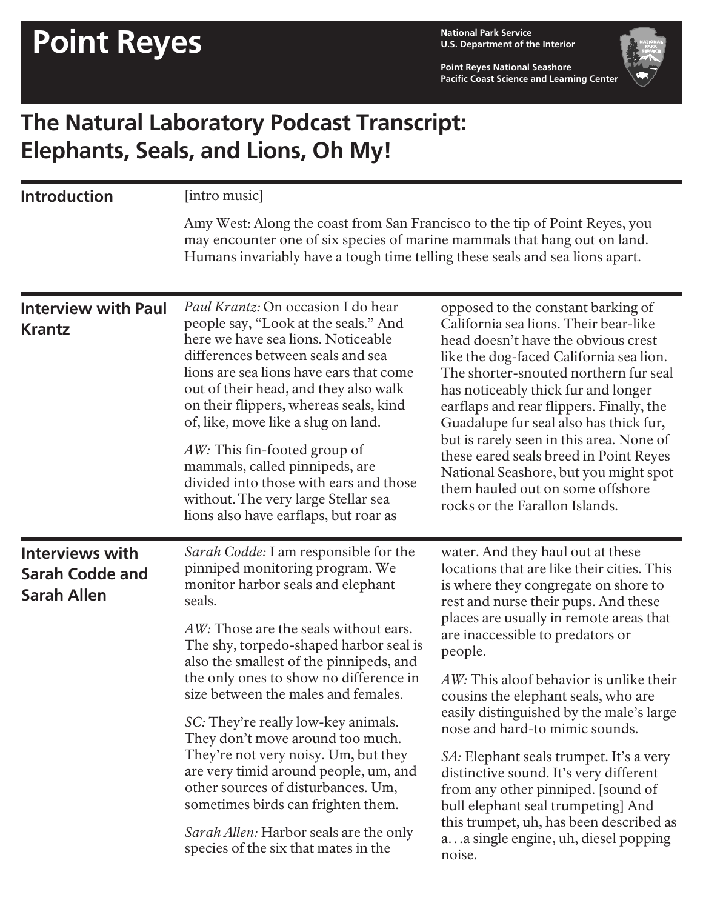**U.S. Department of the Interior**

**Point Reyes National Seashore Pacific Coast Science and Learning Center**



## **The Natural Laboratory Podcast Transcript: Elephants, Seals, and Lions, Oh My!**

| <b>Introduction</b>                                                    | [intro music]<br>Amy West: Along the coast from San Francisco to the tip of Point Reyes, you<br>may encounter one of six species of marine mammals that hang out on land.<br>Humans invariably have a tough time telling these seals and sea lions apart.                                                                                                                                                                                                                                                                                                                                                                                                        |                                                                                                                                                                                                                                                                                                                                                                                                                                                                                                                                                                                                                                                                                         |  |
|------------------------------------------------------------------------|------------------------------------------------------------------------------------------------------------------------------------------------------------------------------------------------------------------------------------------------------------------------------------------------------------------------------------------------------------------------------------------------------------------------------------------------------------------------------------------------------------------------------------------------------------------------------------------------------------------------------------------------------------------|-----------------------------------------------------------------------------------------------------------------------------------------------------------------------------------------------------------------------------------------------------------------------------------------------------------------------------------------------------------------------------------------------------------------------------------------------------------------------------------------------------------------------------------------------------------------------------------------------------------------------------------------------------------------------------------------|--|
|                                                                        |                                                                                                                                                                                                                                                                                                                                                                                                                                                                                                                                                                                                                                                                  |                                                                                                                                                                                                                                                                                                                                                                                                                                                                                                                                                                                                                                                                                         |  |
| <b>Interview with Paul</b><br><b>Krantz</b>                            | <i>Paul Krantz:</i> On occasion I do hear<br>people say, "Look at the seals." And<br>here we have sea lions. Noticeable<br>differences between seals and sea<br>lions are sea lions have ears that come<br>out of their head, and they also walk<br>on their flippers, whereas seals, kind<br>of, like, move like a slug on land.<br>AW: This fin-footed group of<br>mammals, called pinnipeds, are<br>divided into those with ears and those<br>without. The very large Stellar sea<br>lions also have earflaps, but roar as                                                                                                                                    | opposed to the constant barking of<br>California sea lions. Their bear-like<br>head doesn't have the obvious crest<br>like the dog-faced California sea lion.<br>The shorter-snouted northern fur seal<br>has noticeably thick fur and longer<br>earflaps and rear flippers. Finally, the<br>Guadalupe fur seal also has thick fur,<br>but is rarely seen in this area. None of<br>these eared seals breed in Point Reyes<br>National Seashore, but you might spot<br>them hauled out on some offshore<br>rocks or the Farallon Islands.                                                                                                                                                |  |
| <b>Interviews with</b><br><b>Sarah Codde and</b><br><b>Sarah Allen</b> | Sarah Codde: I am responsible for the<br>pinniped monitoring program. We<br>monitor harbor seals and elephant<br>seals.<br>AW: Those are the seals without ears.<br>The shy, torpedo-shaped harbor seal is<br>also the smallest of the pinnipeds, and<br>the only ones to show no difference in<br>size between the males and females.<br>SC: They're really low-key animals.<br>They don't move around too much.<br>They're not very noisy. Um, but they<br>are very timid around people, um, and<br>other sources of disturbances. Um,<br>sometimes birds can frighten them.<br>Sarah Allen: Harbor seals are the only<br>species of the six that mates in the | water. And they haul out at these<br>locations that are like their cities. This<br>is where they congregate on shore to<br>rest and nurse their pups. And these<br>places are usually in remote areas that<br>are inaccessible to predators or<br>people.<br>AW: This aloof behavior is unlike their<br>cousins the elephant seals, who are<br>easily distinguished by the male's large<br>nose and hard-to mimic sounds.<br>SA: Elephant seals trumpet. It's a very<br>distinctive sound. It's very different<br>from any other pinniped. [sound of<br>bull elephant seal trumpeting] And<br>this trumpet, uh, has been described as<br>aa single engine, uh, diesel popping<br>noise. |  |